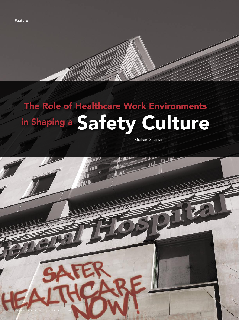

# in Shaping a Safety Culture The Role of Healthcare Work Environments

Graham S. Lowe

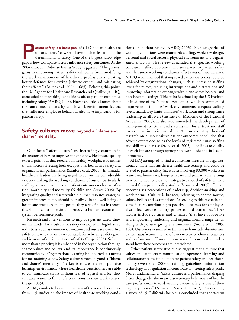atient safety is a basic goal of all Canadian healthcare<br>organizations. Yet we still have much to learn about the<br>determinants of safety. One of the biggest knowledge<br>gans is how workplace factors influence safety outcomes organizations. Yet we still have much to learn about the determinants of safety. One of the biggest knowledge gaps is how workplace factors influence safety outcomes. As the 2004 Canadian Adverse Events Study suggested, "The greatest gains in improving patient safety will come from modifying the work environment of healthcare professionals, creating better defenses for averting [adverse events] and mitigating their effects." (Baker et al. 2004: 1685). Echoing this point, the US Agency for Healthcare Research and Quality (AHRQ) concluded that working conditions affect patient outcomes, including safety (AHRQ 2003). However, little is known about the causal mechanisms by which work environment factors that influence employee behaviour also have implications for patient safety.

# Safety cultures move beyond a "blame and shame" mentality.

Calls for a "safety culture" are increasingly common in discussions of how to improve patient safety. Healthcare quality experts point out that research on healthy workplaces identifies similar factors affecting both occupational health and safety and organizational performance (Sainfort et al. 2001). In Canada, healthcare leaders are being urged to act on the considerable evidence linking the working conditions of nurses, particularly staffing ratios and skill mix, to patient outcomes such as satisfaction, morbidity and mortality (Nicklin and Graves 2005). By integrating quality and safety within human resource strategies, greater improvements should be realized in the well-being of healthcare providers and the people they serve. At least in theory, this should contribute simultaneously to human resource and system performance goals.

Research and interventions to improve patient safety draw on the model for a culture of safety developed in high-hazard industries, such as commercial aviation and nuclear power. In a safety culture, everyone is accountable for achieving safety goals and is aware of the importance of safety (Leape 2005). Safety is more than a priority; it is embedded in the organization through shared values and beliefs, and its importance is continuously communicated. Organizational learning is supported as a means for maintaining safety. Safety cultures move beyond a "blame and shame" mentality. The key is to create a non-punitive learning environment where healthcare practitioners are able to communicate errors without fear of reprisal and feel they can take action to fix unsafe conditions in their work context (Leape 2005).

AHRQ conducted a systemic review of the research evidence from 115 studies on the impact of healthcare working condi-

tions on patient safety (AHRQ 2003). Five categories of working conditions were examined: staffing, workflow design, personal and social factors, physical environment and organizational factors. The review concluded that specific working conditions affect outcomes that are related to patient safety and that some working conditions affect rates of medical error. AHRQ recommended that improved patient outcomes could be achieved by organizational changes, such as increasing staffing levels for nurses, reducing interruptions and distractions and improving information exchange within and across hospital and non-hospital settings. This point is echoed by the US Institute of Medicine of the National Academies, which recommended improvements in nurses' work environments, adequate staffing levels, mandatory limits on nurses' work hours and strong nurse leadership at all levels (Institute of Medicine of the National Academies 2003). It also recommended the development of management structures and systems that foster trust and staff involvement in decision-making. A more recent synthesis of research on nurse-sensitive patient outcomes concluded that adverse events decline as the levels of registered nurse staffing and skill mix increase (Stone et al. 2005). The links to quality of work life are through appropriate workloads and full scope of practice.

AHRQ attempted to find a consensus measure of organizational climate that fits diverse healthcare settings and could be related to patient safety. Six studies involving 80,000 workers in acute care, home care, long-term care and primary care settings were combined to test a new integrative model of safety climate derived from patient safety studies (Stone et al. 2005). Climate encompasses perceptions of leadership, decision-making and work norms. Culture is broader, referring to shared norms, values, beliefs and assumptions. According to this research, the same factors contributing to positive outcomes for employees also affect service quality processes and outcomes. These factors include cultures and climates "that have supportive and empowering leadership and organizational arrangements, along with positive group environments" (Stone et al. 2005: 468). Outcomes examined in this research include absenteeism, patient satisfaction, the use of evidence-based clinical practices and performance. However, more research is needed to understand how these outcomes are interrelated.

Other patient safety studies also suggest that a culture that values and supports communication, openness, learning and collaboration is the foundation for patient safety and healthcare quality (West et al. 2006). Training, guidelines, information technology and regulation all contribute to meeting safety goals. More fundamentally, "safety culture is a performance shaping factor that guides the many discretionary behaviours of healthcare professionals toward viewing patient safety as one of their highest priorities" (Nieva and Sorra 2003: ii17). For example, a study of 15 California hospitals concluded that short-term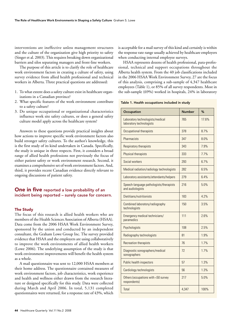interventions are ineffective unless management structures and the culture of the organization give high priority to safety (Singer et al. 2003). This requires breaking down organizational barriers and silos separating managers and front-line workers.

The purpose of this article is to clarify the role of healthcare work environment factors in creating a culture of safety, using survey evidence from allied health professional and technical workers in Alberta. Three practical questions are addressed:

- 1. To what extent does a safety culture exist in healthcare organizations in a Canadian province?
- 2. What specific features of the work environment contribute to a safety culture?
- 3. Do unique occupational or organizational characteristics influence work site safety cultures, or does a general safety culture model apply across the healthcare system?

Answers to these questions provide practical insights about how actions to improve specific work environment factors also build stronger safety cultures. To the author's knowledge, this is the first study of its kind undertaken in Canada. Specifically, the study is unique in three respects. First, it considers a broad range of allied health professions not previously the focus of either patient safety or work environment research. Second, it examines a comprehensive set of work environment factors. And, third, it provides recent Canadian evidence directly relevant to ongoing discussions of patient safety.

# **One in five** reported a low probability of an incident being reported – surely cause for concern.

# The Study

The focus of this research is allied health workers who are members of the Health Sciences Association of Alberta (HSAA). Data come from the 2006 HSAA Work Environment Survey, sponsored by the union and conducted by an independent consultant, the Graham Lowe Group Inc. The survey provided evidence that HSAA and the employers are using collaboratively to improve the work environments of allied health workers (Lowe 2006). The underlying assumption of the study is that work environment improvements will benefit the health system as a whole.

A mail questionnaire was sent to 12,000 HSAA members at their home address. The questionnaire contained measures of work environment factors, job characteristics, work experience and health and wellness either drawn from the research literature or designed specifically for this study. Data were collected during March and April 2006. In total, 5,131 completed questionnaires were returned, for a response rate of 43%, which

is acceptable for a mail survey of this kind and certainly is within the response rate range usually achieved by healthcare employers when conducting internal employee surveys.

HSAA represents dozens of health professional, para-professional, technical and support occupations throughout the Alberta health system. From the 40 job classifications included in the 2006 HSAA Work Environment Survey, 27 are the focus of this analysis, comprising a sub-sample of 4,347 healthcare employees (Table 1), or 85% of all survey respondents. Most in the sub-sample (69%) worked in hospitals, 24% in laboratory

Table 1. Health occupations included in study

| Occupation                                                   | <b>Number</b> | %     |
|--------------------------------------------------------------|---------------|-------|
| Laboratory technologists/medical<br>laboratory technologists | 765           | 17.6% |
| Occupational therapists                                      | 378           | 8.7%  |
| Pharmacists                                                  | 347           | 8.0%  |
| Respiratory therapists                                       | 343           | 7.9%  |
| Physical therapists                                          | 333           | 7.7%  |
| Social workers                                               | 293           | 6.7%  |
| Medical radiation/radiology technologists                    | 282           | 6.5%  |
| Laboratory assistants/attendants/helpers                     | 279           | 6.4%  |
| Speech-language pathologists/therapists<br>and audiologists  | 216           | 5.0%  |
| Dietitians/nutritionists                                     | 183           | 4.2%  |
| Combined laboratory/radiography<br>technologists             | 150           | 3.5%  |
| Emergency medical technicians/<br>paramedics                 | 111           | 2.6%  |
| Psychologists                                                | 108           | 2.5%  |
| Radiography technologists                                    | 81            | 1.9%  |
| <b>Recreation therapists</b>                                 | 76            | 1.7%  |
| Diagnostic sonographers/medical<br>sonographers              | 72            | 1.7%  |
| Public health inspectors                                     | 57            | 1.3%  |
| Cardiology technologists                                     | 56            | 1.3%  |
| Others (occupations with <50 survey<br>respondents)          | 217           | 5.0%  |
| Total                                                        | 4,347         | 100%  |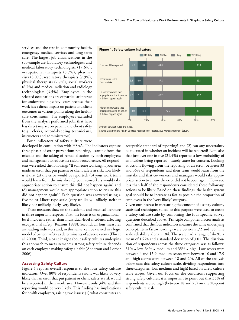services and the rest in community health, emergency medical services and long-term care. The largest job classifications in the sub-sample are laboratory technologists and medical laboratory technologists (17.6%), occupational therapists (8.7%), pharmacists (8.0%), respiratory therapists (7.9%), physical therapists (7.7%), social workers (6.7%) and medical radiation and radiology technologists (6.5%). Employees in the selected occupations are of particular interest for understanding safety issues because their work has a direct impact on patient and client outcomes at various points along the healthcare continuum. The employees excluded from the analysis performed jobs that have less direct impact on patient and client safety (e.g., clerks, record-keeping technicians, instructors and administrators).



## Figure 1. Safety culture indicators

Four indicators of safety culture were

developed in consultation with HSAA. The indicators capture three phases of error prevention: reporting, learning from the mistake and the taking of remedial action by both employees and management to reduce the risk of reoccurrence. All respondents were asked the following: "If someone working in your area made an error that put patient or client safety at risk, how likely is it that (a) the error would be reported? (b) your work team would learn from the mistake? (c) your co-workers would take appropriate action to ensure this did not happen again? and (d) management would take appropriate action to ensure this did not happen again?" Each question was answered using a five-point Likert-type scale (very unlikely, unlikely, neither likely nor unlikely, likely, very likely).

These measures draw on the academic and practical literature in three important respects. First, the focus is on organizationallevel incidents rather than individual-level incidents affecting occupational safety (Reasons 1998). Second, all four measures are leading indicators and, in this sense, can be viewed in a logic model of patient safety as determinants of adverse events (Flin et al. 2000). Third, a basic insight about safety cultures underpins this approach to measurement: a strong safety culture depends on each employee making safety a habit (Anderson and Lorber 2006).

## **Assessing Safety Culture**

Figure 1 reports overall responses to the four safety culture indicators. Over 80% of respondents said it was likely or very likely that an error that put patient or client safety at risk would be a reported in their work area. However, only 34% said this reporting would be very likely. This finding has implications for health employers, raising two issues: (1) what constitutes an

acceptable standard of reporting? and (2) can any uncertainty be tolerated in whether an incident will be reported? Note also that just over one in five (21.4%) reported a low probability of an incident being reported - surely cause for concern. Looking at actions flowing from the reporting of an error, between 33 and 36% of respondents said their team would learn from the mistake and that co-workers and managers would take appropriate action to ensure the error did not happen again. However, less than half of the respondents considered these follow-up actions to be likely. Based on these findings, the health system goal should be to increase as fast as possible the proportion of employees in the "very likely" category.

Given our interest in measuring the concept of a safety culture, statistical techniques suited to this purpose were used to create a safety culture scale by combining the four specific survey questions described above. (Principle component factor analysis confirmed that the four indicators measure the same underlying concept. Item factor loadings were between .72 and .88. The scale reliability alpha = .84. The scale had a range of  $4-20$ , a mean of 16.24 and a standard deviation of 3.01. The distribution of respondents across the three categories was as follows:  $31\%$  = low,  $34\%$  = medium and  $35\%$  = high. Low scores were between 4 and 15.9; medium scores were between 10 and 17.9 and high scores were between 18 and 20). All of the analysis below uses this safety culture scale, dividing respondents into three categories (low, medium and high) based on safety culture scale scores. Given our focus on the conditions supporting strong safety cultures, it is important to point out that 35% of respondents scored high (between 18 and 20) on the 20-point safety culture scale.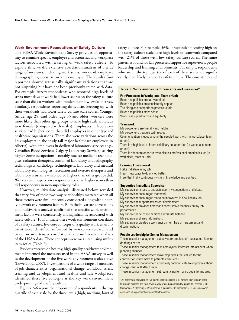# Work Environment Foundations of Safety Culture

The HSAA Work Environment Survey provides an opportunity to examine specific employee characteristics and workplace factors associated with a strong or weak safety culture. To explore this, we did extensive correlation analysis of a wide range of measures, including work stress, workload, employee demographics, occupation and employer. The results (not reported) showed statistically significant variations that are not surprising but have not been previously tested with data. For example, survey respondents who reported high levels of stress most days at work had lower scores on the safety culture scale than did co-workers with moderate or low levels of stress. Similarly, respondents reporting difficulties keeping up with their workloads had lower safety culture scale scores. Younger (under age 25) and older (age 55 and older) workers were more likely than other age groups to have high scale scores, as were females (compared with males). Employees in laboratory services had higher scores than did employees in other types of healthcare organizations. There also were variations across the 14 employers in the study (all major healthcare employers in Alberta), with employees in dedicated laboratory services (e.g., Canadian Blood Services, Calgary Laboratory Services) scoring higher. Some occupations – notably nuclear medicine technologists, radiation therapists, combined laboratory and radiography technologists, cardiology technologists, laboratory and medical laboratory technologists, recreation and exercise therapists and laboratory assistants – also scored higher than other groups did. Workers with supervisory responsibilities had higher scores than did respondents in non-supervisory roles.

However, multivariate analysis, discussed below, revealed that very few of these two-way relationships mattered when all these factors were simultaneously considered along with underlying work environment factors. Both the bi-variate correlations and multivariate analysis confirmed that specific work environment factors were consistently and significantly associated with safety culture. To illuminate these work environment correlates of a safety culture, five core concepts of a quality work environment were identified, informed by workplace research and based on an extensive correlational and multivariate analysis of the HSAA data. These concepts were measured using multiitem scales (Table 2).

Previous research on healthy, high-quality healthcare environments informed the measures used in the HSAA survey as well as the development of the five work environment scales above (Lowe 2002, 2007). Investigations of a wide range of measures of job characteristics, organizational change, workload, stress, training and development and healthy and safe workplaces identified these five concepts as the key work environment underpinnings of a safety culture.

Figures 2–6 report the proportion of respondents in the top quartile of each scale for the three levels (high, medium, low) of safety culture. For example, 56% of respondents scoring high on the safety culture scale have high levels of teamwork compared with 21% of those with low safety culture scores. The same pattern is found for fair processes, supportive supervisors, people leadership and learning environments. Put simply, respondents who are in the top quartile of each of these scales are significantly more likely to report a safety culture. The consistency and

#### Table 2. Work environment concepts and measures\*

**Fair Processes in Workplace, Team or Unit**

Rules and policies are fairly applied. Rules and policies are consistently applied. The hiring and competition process is fair. Rules and policies make sense. Work is assigned fairly and equitably.

#### **Teamwork**

My co-workers are friendly and helpful. My co-workers treat me with respect.

Communication is good among the people I work with (in workplace, team or unit).

There is a high level of interdisciplinary collaboration (in workplace, team or unit).

There is adequate opportunity to discuss professional practice issues (in workplace, team or unit).

## **Learning Environment**

I take initiative in my job.

I learn new ways to do my job better.

I feel that I fully contribute my skills, knowledge and abilities.

## **Supportive Immediate Supervisor**

My supervisor listens to and acts upon my suggestions and ideas. My supervisor encourages teamwork. My supervisor encourages me to be innovative in how I do my job.

My supervisor supports my career development.

My supervisor provides timely and constructive feedback on my job performance.

My supervisor helps me achieve a work-life balance.

My supervisor shares information.

My supervisor creates a work environment free of harassment and discrimination.

#### **People Leadership by Senior Management**

Those in senior management actively seek employees' ideas about how to do things better.

Those in senior management take employees' interests into account when planning changes.

Those in senior management make employees feel valued for the contributions they make to patients and clients.

Those in senior management effectively communicate to employees about changes that will affect them.

Those in senior management set realistic performance goals for my area.

\*All items were answered on five-point Likert-type scales (e.g., ranging from strongly agree to strongly disagree and from never to very often). Scale reliability alphas: fair process = .85; teamwork = .79; learning = .74; supportive supervisor = .92; leadership = .91. All scales were developed using principal component factor analysis.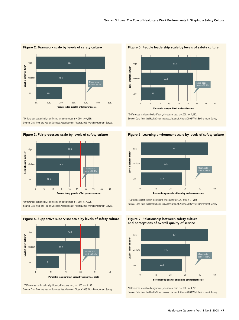

# Figure 2. Teamwork scale by levels of safety culture

\*Differences statistically significant, chi-square test,  $p = .000$ .  $n = 4,169$ . Source: Data from the Health Sciences Association of Alberta 2006 Work Environment Survey.

Figure 3. Fair processes scale by levels of safety culture



\*Differences statistically significant, chi-square test,  $p = .000$ .  $n = 4,225$ . Source: Data from the Health Sciences Association of Alberta 2006 Work Environment Survey.



Figure 4. Supportive supervisor scale by levels of safety culture

\*Differences statistically significant, chi-square test,  $p = .000$ .  $n = 4,186$ . Source: Data from the Health Sciences Association of Alberta 2006 Work Environment Survey.



Figure 5. People leadership scale by levels of safety culture

\*Differences statistically significant, chi-square test,  $p = .000$ .  $n = 4,020$ . Source: Data from the Health Sciences Association of Alberta 2006 Work Environment Survey.





\*Differences statistically significant, chi-square test,  $p = .000$ .  $n = 4,280$ . Source: Data from the Health Sciences Association of Alberta 2006 Work Environment Survey.

Figure 7. Relationship between safety culture and perceptions of overall quality of service



\*Differences statistically significant, chi-square test,  $p = .000$ .  $n = 4,276$ . Source: Data from the Health Sciences Association of Alberta 2006 Work Environment Survey.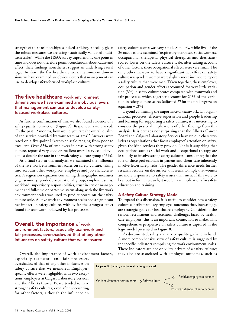strength of these relationships is indeed striking, especially given the robust measures we are using (statistically validated multiitem scales). While the HSAA survey captures only one point in time and does not therefore permit conclusions about cause and effect, these findings nonetheless suggest an underlying causal logic. In short, the five healthcare work environment dimensions we have examined are obvious levers that management can use to develop safety-focused workplace cultures.

# The five healthcare work environment dimensions we have examined are obvious levers that management can use to develop safetyfocused workplace cultures.

As further confirmation of this, we also found evidence of a safety-quality connection (Figure 7). Respondents were asked, "In the past 12 months, how would you rate the overall quality of the service provided by your team or area?" Answers were rated on a five-point Likert-type scale ranging from poor to excellent. Over 83% of employees in areas with strong safety cultures reported very good or excellent overall service quality – almost double the rate in the weak safety culture group (46%).

As a final step in this analysis, we examined the influence of the five work environment scales on safety culture, taking into account other workplace, employee and job characteristics. A regression equation containing demographic measures (e.g., seniority, gender), occupational group, employer, stress, workload, supervisory responsibilities, trust in senior management and full-time or part-time status along with the five work environment scales was used to predict scores on the safety culture scale. All five work environment scales had a significant net impact on safety culture, with by far the strongest effect found for teamwork, followed by fair processes.

# **Overall, the importance of work** environment factors, especially teamwork and fair processes, overshadowed that of any other influences on safety culture that we measured.

Overall, the importance of work environment factors, especially teamwork and fair processes,

overshadowed that of any other influences on safety culture that we measured. Employerspecific effects were negligible, with two exceptions: employees at Calgary Laboratory Services and the Alberta Cancer Board tended to have stronger safety cultures, even after accounting for other factors, although the influence on safety culture scores was very small. Similarly, while five of the 26 occupations examined (respiratory therapists, social workers, occupational therapists, physical therapists and dietitians) scored lower on the safety culture scale, after taking account of other factors, these occupational effects were very small. The only other measure to have a significant net effect on safety culture was gender: women were slightly more inclined to report a safety culture than were men. Taken together, these employer, occupation and gender effects accounted for very little variation (3%) in safety culture scores compared with teamwork and fair processes, which together account for 21% of the variation in safety culture scores (adjusted *R*<sup>2</sup> for the final regression equation =  $.274$ ).

Beyond confirming the importance of teamwork, fair organizational processes, effective supervision and people leadership and learning for supporting a safety culture, it is interesting to consider the practical implications of other findings from this analysis. It is perhaps not surprising that the Alberta Cancer Board and Calgary Laboratory Services have unique characteristics as organizations that focus employees' attention on safety, given the kind services they provide. Nor is it surprising that occupations such as social work and occupational therapy are less likely to involve strong safety cultures, considering that the role of these professionals in patient and client care inherently involve fewer safety risks. The gender difference needs further research because, on the surface, this seems to imply that women are more responsive to safety issues than men. If this were to bear out in future research, it would have implications for safety education and training.

# A Safety Culture Strategy Model

To expand this discussion, it is useful to consider how a safety culture contributes to key employee outcomes that, increasingly, are strategic goals for healthcare employers. Considering the serious recruitment and retention challenges faced by healthcare employers, this is an important connection to make. This comprehensive perspective on safety culture is captured in the logic model presented in Figure 8.

As documented, safety and service quality go hand in hand. A more comprehensive view of safety culture is suggested by the specific indicators comprising the work environment scales. These indicators are not only key drivers of a safety culture; they also are associated with employee outcomes, such as

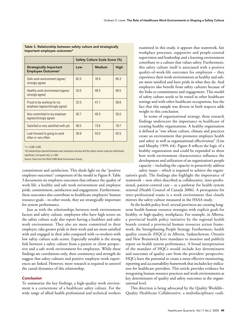|                                                                  | Safety Culture Scale Score (%) |               |      |
|------------------------------------------------------------------|--------------------------------|---------------|------|
| <b>Strategically Important</b><br>Employee Outcomes <sup>t</sup> | Low                            | <b>Medium</b> | High |
| Safe work environment (agree/<br>strongly agree)                 | 62 Q                           | 76.9          | 85.3 |
| Healthy work environment (agree/<br>strongly agree)              | 330                            | 49.3          | 60.5 |
| Proud to be working for my<br>employer (agree/strongly agree)    | 320                            | 477           | 59.8 |
| Very committed to my employer<br>(agree/strongly agree)          | 30.7                           | 45.0          | 55.0 |
| Satisfied or very satisfied with job                             | 58.5                           | 73.6          | 79.7 |
| Look forward to going to work<br>often or very often             | 39.9                           | 53.0          | 63.5 |

## Table 3. Relationship between safety culture and strategically important employee outcomes\*

 $n = 4,266 - 4,282$ .

† All relationships reported between each employee outcome and the safety culture scale are statistically significant, chi-square test,  $p = .000$ .

Source: Data from the HSAA 2006 Work Environment Survey.

commitment and satisfaction. This sheds light on the "positive employee outcomes" component of the model in Figure 8. Table 3 documents six employee outcomes that enhance the quality of work life: a healthy and safe work environment and employee pride, commitment, satisfaction and engagement. Furthermore, these outcomes also contribute to healthcare employers' human resource goals – in other words, they are strategically important for system performance.

Just as with the relationships between work environment factors and safety culture, employees who have high scores on the safety culture scale also report having a healthier and safer work environment. They also are more committed to their employer, take greater pride in their work and are more satisfied with and engaged in their jobs compared with co-workers with low safety culture scale scores. Especially notable is the strong link between a safety culture from a patient or client perspective and a safe work environment for employees. While these findings are correlations only, their consistency and strength do suggest that safety cultures and positive employee work experiences are linked. However, more research is required to unravel the causal dynamics of this relationship.

## Conclusion

To summarize the key findings, a high-quality work environment is a cornerstone of a healthcare safety culture. For the wide range of allied health professional and technical workers examined in this study, it appears that teamwork, fair workplace processes, supportive and people-centred supervision and leadership and a learning environment contribute to a culture that values safety. Furthermore, this safety culture itself is associated with a positive quality-of-work-life outcomes for employees – they experience their work environments as healthy and safe, are more satisfied and have pride in what they do. And employers also benefit from safety cultures because of the links to commitment and engagement. This model of safety culture needs to be tested in other healthcare settings and with other healthcare occupations, but the fact that this sample was diverse in both respects adds weight to this conclusion.

In terms of organizational strategy, these research findings underscore the importance in healthcare of creating healthy organizations. A healthy organization is defined as "one whose culture, climate and practices create an environment that promotes employee health and safety as well as organizational effectiveness" (Lim and Murphy 1999: 64). Figure 8 reflects the logic of a healthy organization and could be expanded to show how work environment characteristics influence the development and utilization of an organization's people capacity – including the capacity to proactively address safety issues – which is required to achieve the organi-

zation's goals. The findings also highlight the importance of teamwork – now often described as collaborative, inter-professional, patient-centred care – as a pathway for health system renewal (Health Council of Canada 2006). A prerequisite for inter-professional teams is a work environment that closely mirrors the safety culture measured in the HSAA study.

At the health policy level, several provinces are creating longterm health human resource strategies with explicit goals for healthy, or high-quality, workplaces. For example, in Alberta, a provincial health policy initiative by the regional health boards created a provincial human resources action framework, the Strengthening People Strategy. Furthermore, health quality councils (HQCs) in Alberta, Saskatchewan, Ontario and New Brunswick have mandates to monitor and publicly report on health system performance. A broad interpretation of the mandate of HQCs would include key determinants and outcomes of quality care from the providers' perspective. HQCs have the potential to create a more effective monitoring, reporting and accountability framework that includes key indicators for healthcare providers. This article provides evidence for integrating human resource practices and work environments as key determinants of quality and safety outcomes at the organizational level.

This direction is being advocated by the Quality Worklife– Quality Healthcare Collaborative, a multidisciplinary coali-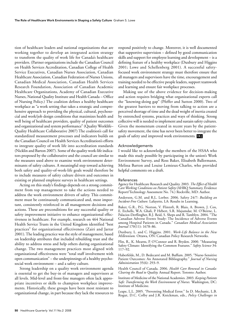tion of healthcare leaders and national organizations that are working together to develop an integrated action strategy to transform the quality of work life for Canada's healthcare providers. (Partner organizations include the Canadian Council on Health Services Accreditation, Canadian College of Health Service Executives, Canadian Nurses Association, Canadian Healthcare Association, Canadian Federation of Nurses Unions, Canadian Medical Association, Canadian Health Services Research Foundation, Association of Canadian Academic Healthcare Organizations, Academy of Canadian Executive Nurses, National Quality Institute and Health Canada – Office of Nursing Policy.) The coalition defines a healthy healthcare workplace as "a work setting that takes a strategic and comprehensive approach to providing the physical, cultural, psychosocial and work/job design conditions that maximizes health and well being of healthcare providers, quality of patient outcomes and organizational and system performance" (Quality Worklife– Quality Healthcare Collaborative 2007) The coalition's call for standardized measurement processes and indicators builds on the Canadian Council on Health Services Accreditation's efforts to integrate quality of work life into accreditation standards (Nicklin and Barton 2007). Some of the quality work-life indicators proposed by the collaborative and the council are similar to the measures used above to examine work environment determinants of safety cultures. A meaningful step toward achieving both safety and quality-of-work-life goals would therefore be to include measures of safety culture drivers and outcomes in existing or planned employee surveys in healthcare settings.

Acting on this study's findings depends on a strong commitment from top management to take the actions needed to address the work environment drivers of safety. This commitment must be continuously communicated and, most important, consistently reinforced in all management decisions and actions. These are preconditions for any successful quality or safety improvement initiative to enhance organizational effectiveness in healthcare. For example, research on 464 National Health Service Trusts in the United Kingdom identified "best practices" for organizational effectiveness (Zairi and Jarrar 2001). The leading practice was the style of management, based on leadership attributes that included rebuilding trust and the ability to address stress and help others during organizational change. The two management practices most aligned with organizational effectiveness were "total staff involvement with open communication" – the underpinnings of a healthy psychosocial work environment – and a safety culture.

Strong leadership on a quality work environment agenda is essential to get the buy-in of managers and supervisors at all levels. Mid-level and front-line managers often lack appropriate incentives or skills to champion workplace improvements. Historically, these groups have been most resistant to organizational change, in part because they lack the resources to

respond positively to change. Moreover, it is well documented that supportive supervision – defined by good communication skills and support for employee learning and development – is a defining feature of a healthy workplace (Duxbury and Higgins 2001; Lowe and Schellenberg 2001). A successful safetyfocused work environment strategy must therefore ensure that all managers and supervisors have the time, encouragement and training needed to be effective people leaders, support teamwork and learning and ensure fair workplace processes.

Making use of the above evidence for decision-making and action requires bridging what organizational experts call the "knowing-doing gap" (Pfeffer and Sutton 2000). Two of the greatest barriers to moving from talking to action are a perceived shortage of time and the dead weight of inertia created by entrenched systems, practices and ways of thinking. Strong collective will is needed to implement and sustain safety cultures. Given the momentum created in recent years by the patientsafety movement, the time has never been better to integrate the goals of safety and improved work environments.

#### Acknowledgements

I would like to acknowledge the members of the HSAA who made this study possible by participating in the union's Work Environment Survey, and Ross Baker, Elisabeth Ballermann, Melissa Barton and Louise Lemieux-Charles, who provided helpful comments on a draft.

#### References

Agency for Healthcare Research and Quality. 2003. *The Effect of Health Care Working Conditions on Patient Safety* (AHRQ Summary, Evidence Report/Technology Assessment No. 74.) Rockville, MD: Author.

Anderson, G.M. and R.L. Lorber. 2006. Safety 24/7: *Building an Incident-Free Culture.* Lafayette, LA: Results in Learning.

Baker, G.R., P.G. Norton, V. Flintoft, R. Blais, A. Brown, J. Cox, E. Etchells, W.A. Ghali, P. Hébert, S.R. Majumdar, M. O'Beirne, L. Palacios-Derflingher, R.J. Reid, S. Sheps and R. Tamblyn. 2004. "The Canadian Adverse Events Study: The Incidence of Adverse Events among Hospital Patients in Canada." *Canadian Medical Association Journal* 170(11): 1678–86.

Duxbury, L. and C. Higgins. 2001. *Work-Life Balance in the New Millennium.* Ottawa, ON: Canadian Policy Research Networks.

Flin, R., K. Mearns, P. O'Connor and R. Bryden. 2000. "Measuring Safety Climate: Identifying the Common Features." *Safety Science* 34: 117–92.

Haberfelde, M., D. Bedecarré and M. Buffum. 2005. "Nurse-Sensitive Patient Outcomes: An Annotated Bibliography." *Journal of Nursing Administration* 35(6): 293–9.

Health Council of Canada. 2006. *Health Care Renewal in Canada: Clearing the Road to Quality.* Annual Report. Toronto: Author.

Institute of Medicine of the National Academies. 2003. *Keeping Patients Safe: Transforming the Work Environment of Nurses.* Washington, DC: Institute of Medicine.

Leape, L.L. 2005. "Preventing Medical Error." In D. Mechanic, L.B. Rogut, D.C. Colby and J.R. Knickman, eds., *Policy Challenges in*